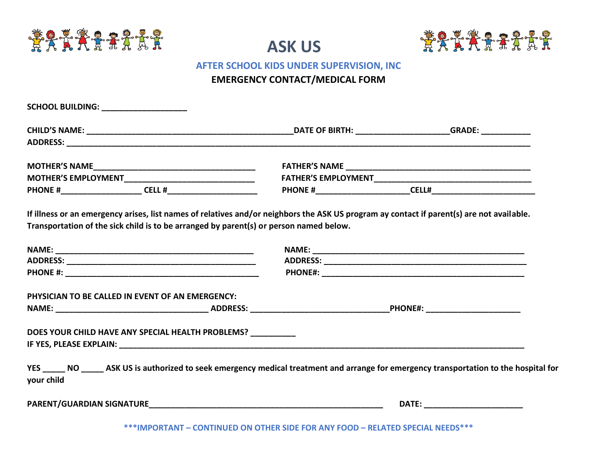





## **AFTER SCHOOL KIDS UNDER SUPERVISION, INC**

## **EMERGENCY CONTACT/MEDICAL FORM**

| SCHOOL BUILDING: ____________________                                                                                                                                                                                               |  |
|-------------------------------------------------------------------------------------------------------------------------------------------------------------------------------------------------------------------------------------|--|
|                                                                                                                                                                                                                                     |  |
|                                                                                                                                                                                                                                     |  |
|                                                                                                                                                                                                                                     |  |
|                                                                                                                                                                                                                                     |  |
|                                                                                                                                                                                                                                     |  |
| If illness or an emergency arises, list names of relatives and/or neighbors the ASK US program ay contact if parent(s) are not available.<br>Transportation of the sick child is to be arranged by parent(s) or person named below. |  |
|                                                                                                                                                                                                                                     |  |
|                                                                                                                                                                                                                                     |  |
|                                                                                                                                                                                                                                     |  |
| PHYSICIAN TO BE CALLED IN EVENT OF AN EMERGENCY:                                                                                                                                                                                    |  |
|                                                                                                                                                                                                                                     |  |
| DOES YOUR CHILD HAVE ANY SPECIAL HEALTH PROBLEMS?                                                                                                                                                                                   |  |
| YES _______ NO _______ ASK US is authorized to seek emergency medical treatment and arrange for emergency transportation to the hospital for<br>your child                                                                          |  |
|                                                                                                                                                                                                                                     |  |

**\*\*\*IMPORTANT – CONTINUED ON OTHER SIDE FOR ANY FOOD – RELATED SPECIAL NEEDS\*\*\***